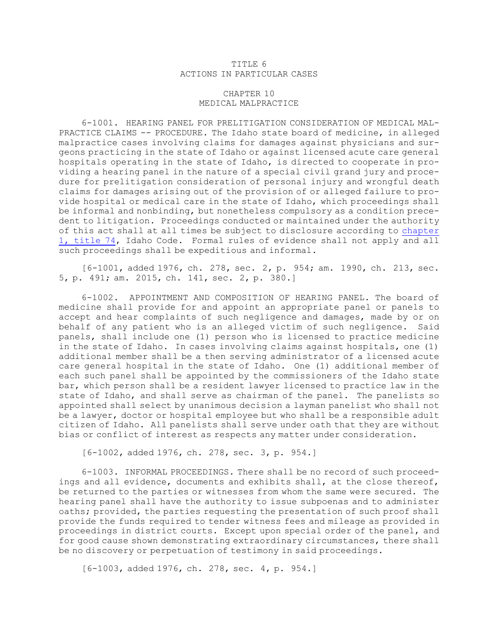## TITLE 6 ACTIONS IN PARTICULAR CASES

## CHAPTER 10 MEDICAL MALPRACTICE

6-1001. HEARING PANEL FOR PRELITIGATION CONSIDERATION OF MEDICAL MAL-PRACTICE CLAIMS -- PROCEDURE. The Idaho state board of medicine, in alleged malpractice cases involving claims for damages against physicians and surgeons practicing in the state of Idaho or against licensed acute care general hospitals operating in the state of Idaho, is directed to cooperate in providing <sup>a</sup> hearing panel in the nature of <sup>a</sup> special civil grand jury and procedure for prelitigation consideration of personal injury and wrongful death claims for damages arising out of the provision of or alleged failure to provide hospital or medical care in the state of Idaho, which proceedings shall be informal and nonbinding, but nonetheless compulsory as <sup>a</sup> condition precedent to litigation. Proceedings conducted or maintained under the authority of this act shall at all times be subject to disclosure according to [chapter](https://legislature.idaho.gov/statutesrules/idstat/Title74/T74CH1) 1, [title](https://legislature.idaho.gov/statutesrules/idstat/Title74/T74CH1) 74, Idaho Code. Formal rules of evidence shall not apply and all such proceedings shall be expeditious and informal.

[6-1001, added 1976, ch. 278, sec. 2, p. 954; am. 1990, ch. 213, sec. 5, p. 491; am. 2015, ch. 141, sec. 2, p. 380.]

6-1002. APPOINTMENT AND COMPOSITION OF HEARING PANEL. The board of medicine shall provide for and appoint an appropriate panel or panels to accept and hear complaints of such negligence and damages, made by or on behalf of any patient who is an alleged victim of such negligence. Said panels, shall include one (1) person who is licensed to practice medicine in the state of Idaho. In cases involving claims against hospitals, one (1) additional member shall be <sup>a</sup> then serving administrator of <sup>a</sup> licensed acute care general hospital in the state of Idaho. One (1) additional member of each such panel shall be appointed by the commissioners of the Idaho state bar, which person shall be <sup>a</sup> resident lawyer licensed to practice law in the state of Idaho, and shall serve as chairman of the panel. The panelists so appointed shall select by unanimous decision <sup>a</sup> layman panelist who shall not be <sup>a</sup> lawyer, doctor or hospital employee but who shall be <sup>a</sup> responsible adult citizen of Idaho. All panelists shall serve under oath that they are without bias or conflict of interest as respects any matter under consideration.

[6-1002, added 1976, ch. 278, sec. 3, p. 954.]

6-1003. INFORMAL PROCEEDINGS. There shall be no record of such proceedings and all evidence, documents and exhibits shall, at the close thereof, be returned to the parties or witnesses from whom the same were secured. The hearing panel shall have the authority to issue subpoenas and to administer oaths; provided, the parties requesting the presentation of such proof shall provide the funds required to tender witness fees and mileage as provided in proceedings in district courts. Except upon special order of the panel, and for good cause shown demonstrating extraordinary circumstances, there shall be no discovery or perpetuation of testimony in said proceedings.

[6-1003, added 1976, ch. 278, sec. 4, p. 954.]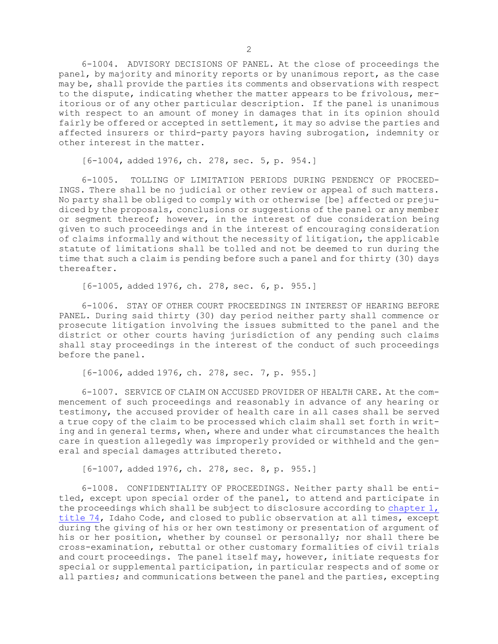6-1004. ADVISORY DECISIONS OF PANEL. At the close of proceedings the panel, by majority and minority reports or by unanimous report, as the case may be, shall provide the parties its comments and observations with respect to the dispute, indicating whether the matter appears to be frivolous, meritorious or of any other particular description. If the panel is unanimous with respect to an amount of money in damages that in its opinion should fairly be offered or accepted in settlement, it may so advise the parties and affected insurers or third-party payors having subrogation, indemnity or other interest in the matter.

[6-1004, added 1976, ch. 278, sec. 5, p. 954.]

6-1005. TOLLING OF LIMITATION PERIODS DURING PENDENCY OF PROCEED-INGS. There shall be no judicial or other review or appeal of such matters. No party shall be obliged to comply with or otherwise [be] affected or prejudiced by the proposals, conclusions or suggestions of the panel or any member or segment thereof; however, in the interest of due consideration being given to such proceedings and in the interest of encouraging consideration of claims informally and without the necessity of litigation, the applicable statute of limitations shall be tolled and not be deemed to run during the time that such <sup>a</sup> claim is pending before such <sup>a</sup> panel and for thirty (30) days thereafter.

[6-1005, added 1976, ch. 278, sec. 6, p. 955.]

6-1006. STAY OF OTHER COURT PROCEEDINGS IN INTEREST OF HEARING BEFORE PANEL. During said thirty (30) day period neither party shall commence or prosecute litigation involving the issues submitted to the panel and the district or other courts having jurisdiction of any pending such claims shall stay proceedings in the interest of the conduct of such proceedings before the panel.

[6-1006, added 1976, ch. 278, sec. 7, p. 955.]

6-1007. SERVICE OF CLAIM ON ACCUSED PROVIDER OF HEALTH CARE. At the commencement of such proceedings and reasonably in advance of any hearing or testimony, the accused provider of health care in all cases shall be served <sup>a</sup> true copy of the claim to be processed which claim shall set forth in writing and in general terms, when, where and under what circumstances the health care in question allegedly was improperly provided or withheld and the general and special damages attributed thereto.

[6-1007, added 1976, ch. 278, sec. 8, p. 955.]

6-1008. CONFIDENTIALITY OF PROCEEDINGS. Neither party shall be entitled, except upon special order of the panel, to attend and participate in the proceedings which shall be subject to disclosure according to [chapter](https://legislature.idaho.gov/statutesrules/idstat/Title74/T74CH1) 1, [title](https://legislature.idaho.gov/statutesrules/idstat/Title74/T74CH1) 74, Idaho Code, and closed to public observation at all times, except during the giving of his or her own testimony or presentation of argument of his or her position, whether by counsel or personally; nor shall there be cross-examination, rebuttal or other customary formalities of civil trials and court proceedings. The panel itself may, however, initiate requests for special or supplemental participation, in particular respects and of some or all parties; and communications between the panel and the parties, excepting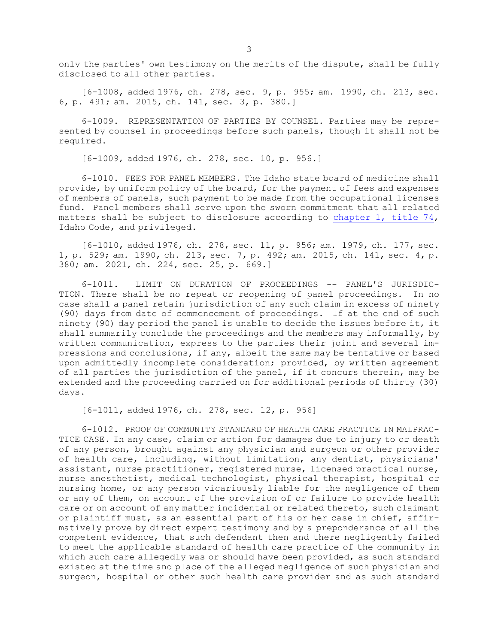only the parties' own testimony on the merits of the dispute, shall be fully disclosed to all other parties.

[6-1008, added 1976, ch. 278, sec. 9, p. 955; am. 1990, ch. 213, sec. 6, p. 491; am. 2015, ch. 141, sec. 3, p. 380.]

6-1009. REPRESENTATION OF PARTIES BY COUNSEL. Parties may be represented by counsel in proceedings before such panels, though it shall not be required.

[6-1009, added 1976, ch. 278, sec. 10, p. 956.]

6-1010. FEES FOR PANEL MEMBERS. The Idaho state board of medicine shall provide, by uniform policy of the board, for the payment of fees and expenses of members of panels, such payment to be made from the occupational licenses fund. Panel members shall serve upon the sworn commitment that all related matters shall be subject to disclosure according to [chapter](https://legislature.idaho.gov/statutesrules/idstat/Title74/T74CH1) 1, title  $74$ , Idaho Code, and privileged.

[6-1010, added 1976, ch. 278, sec. 11, p. 956; am. 1979, ch. 177, sec. 1, p. 529; am. 1990, ch. 213, sec. 7, p. 492; am. 2015, ch. 141, sec. 4, p. 380; am. 2021, ch. 224, sec. 25, p. 669.]

6-1011. LIMIT ON DURATION OF PROCEEDINGS -- PANEL'S JURISDIC-TION. There shall be no repeat or reopening of panel proceedings. In no case shall <sup>a</sup> panel retain jurisdiction of any such claim in excess of ninety (90) days from date of commencement of proceedings. If at the end of such ninety (90) day period the panel is unable to decide the issues before it, it shall summarily conclude the proceedings and the members may informally, by written communication, express to the parties their joint and several impressions and conclusions, if any, albeit the same may be tentative or based upon admittedly incomplete consideration; provided, by written agreement of all parties the jurisdiction of the panel, if it concurs therein, may be extended and the proceeding carried on for additional periods of thirty (30) days.

[6-1011, added 1976, ch. 278, sec. 12, p. 956]

6-1012. PROOF OF COMMUNITY STANDARD OF HEALTH CARE PRACTICE IN MALPRAC-TICE CASE. In any case, claim or action for damages due to injury to or death of any person, brought against any physician and surgeon or other provider of health care, including, without limitation, any dentist, physicians' assistant, nurse practitioner, registered nurse, licensed practical nurse, nurse anesthetist, medical technologist, physical therapist, hospital or nursing home, or any person vicariously liable for the negligence of them or any of them, on account of the provision of or failure to provide health care or on account of any matter incidental or related thereto, such claimant or plaintiff must, as an essential part of his or her case in chief, affirmatively prove by direct expert testimony and by <sup>a</sup> preponderance of all the competent evidence, that such defendant then and there negligently failed to meet the applicable standard of health care practice of the community in which such care allegedly was or should have been provided, as such standard existed at the time and place of the alleged negligence of such physician and surgeon, hospital or other such health care provider and as such standard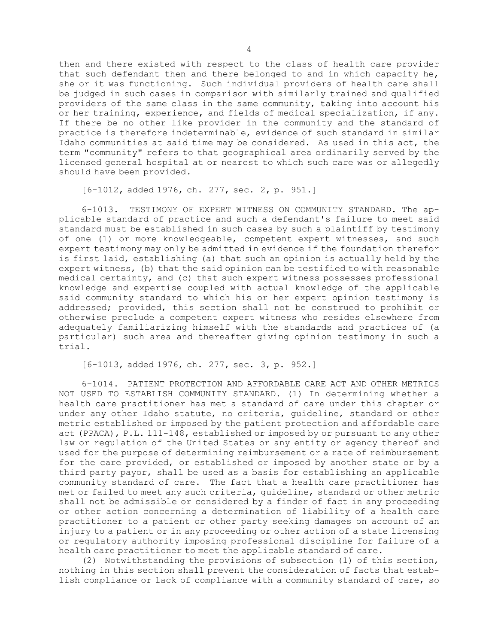then and there existed with respect to the class of health care provider that such defendant then and there belonged to and in which capacity he, she or it was functioning. Such individual providers of health care shall be judged in such cases in comparison with similarly trained and qualified providers of the same class in the same community, taking into account his or her training, experience, and fields of medical specialization, if any. If there be no other like provider in the community and the standard of practice is therefore indeterminable, evidence of such standard in similar Idaho communities at said time may be considered. As used in this act, the term "community" refers to that geographical area ordinarily served by the licensed general hospital at or nearest to which such care was or allegedly should have been provided.

[6-1012, added 1976, ch. 277, sec. 2, p. 951.]

6-1013. TESTIMONY OF EXPERT WITNESS ON COMMUNITY STANDARD. The applicable standard of practice and such <sup>a</sup> defendant's failure to meet said standard must be established in such cases by such <sup>a</sup> plaintiff by testimony of one (1) or more knowledgeable, competent expert witnesses, and such expert testimony may only be admitted in evidence if the foundation therefor is first laid, establishing (a) that such an opinion is actually held by the expert witness, (b) that the said opinion can be testified to with reasonable medical certainty, and (c) that such expert witness possesses professional knowledge and expertise coupled with actual knowledge of the applicable said community standard to which his or her expert opinion testimony is addressed; provided, this section shall not be construed to prohibit or otherwise preclude <sup>a</sup> competent expert witness who resides elsewhere from adequately familiarizing himself with the standards and practices of (a particular) such area and thereafter giving opinion testimony in such <sup>a</sup> trial.

[6-1013, added 1976, ch. 277, sec. 3, p. 952.]

6-1014. PATIENT PROTECTION AND AFFORDABLE CARE ACT AND OTHER METRICS NOT USED TO ESTABLISH COMMUNITY STANDARD. (1) In determining whether <sup>a</sup> health care practitioner has met <sup>a</sup> standard of care under this chapter or under any other Idaho statute, no criteria, guideline, standard or other metric established or imposed by the patient protection and affordable care act (PPACA), P.L. 111-148, established or imposed by or pursuant to any other law or regulation of the United States or any entity or agency thereof and used for the purpose of determining reimbursement or <sup>a</sup> rate of reimbursement for the care provided, or established or imposed by another state or by <sup>a</sup> third party payor, shall be used as <sup>a</sup> basis for establishing an applicable community standard of care. The fact that <sup>a</sup> health care practitioner has met or failed to meet any such criteria, guideline, standard or other metric shall not be admissible or considered by <sup>a</sup> finder of fact in any proceeding or other action concerning <sup>a</sup> determination of liability of <sup>a</sup> health care practitioner to <sup>a</sup> patient or other party seeking damages on account of an injury to <sup>a</sup> patient or in any proceeding or other action of <sup>a</sup> state licensing or regulatory authority imposing professional discipline for failure of <sup>a</sup> health care practitioner to meet the applicable standard of care.

(2) Notwithstanding the provisions of subsection (1) of this section, nothing in this section shall prevent the consideration of facts that establish compliance or lack of compliance with <sup>a</sup> community standard of care, so